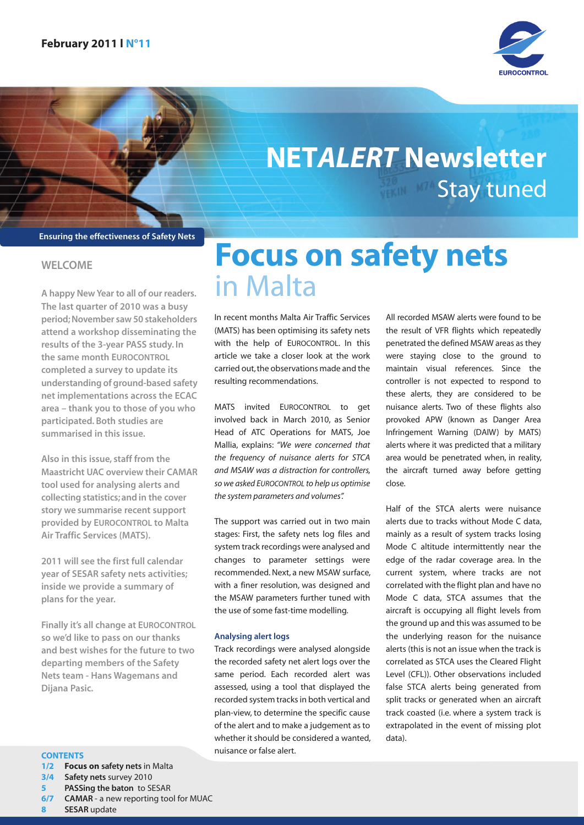

## Stay tuned **NETALERT Newsletter**

**Ensuring the effectiveness of Safety Nets**

### **WELCOME**

**A happy New Year to all of our readers. The last quarter of 2010 was a busy period;November saw 50 stakeholders attend a workshop disseminating the results of the 3-year PASS study. In the same month EUROCONTROL completed a survey to update its understanding of ground-based safety net implementations across the ECAC area – thank you to those of you who participated. Both studies are summarised in this issue.**

**Also in this issue, staff from the Maastricht UAC overview their CAMAR tool used for analysing alerts and collecting statistics;and in the cover story we summarise recent support provided by EUROCONTROL to Malta Air Traffic Services (MATS).**

**2011 will see the first full calendar year of SESAR safety nets activities; inside we provide a summary of plans for the year.**

**Finally it's all change at EUROCONTROL so we'd like to pass on our thanks and best wishes for the future to two departing members of the Safety Nets team - Hans Wagemans and Dijana Pasic.**

#### **CONTENTS**

**1/2 Focus on safety nets** in Malta

- **3/4 Safety nets** survey 2010
- **5 PASSing the baton** to SESAR<br>**6/7 CAMAR** a new reporting too
- **CAMAR** a new reporting tool for MUAC
- **8 SESAR** update

## **Focus on safety nets** in Malta

In recent months Malta Air Traffic Services (MATS) has been optimising its safety nets with the help of EUROCONTROL. In this article we take a closer look at the work carried out, the observations made and the resulting recommendations.

MATS invited EUROCONTROL to get involved back in March 2010, as Senior Head of ATC Operations for MATS, Joe Mallia, explains: "We were concerned that the frequency of nuisance alerts for STCA and MSAW was a distraction for controllers, so we asked EUROCONTROL to help us optimise the system parameters and volumes".

The support was carried out in two main stages: First, the safety nets log files and system track recordings were analysed and changes to parameter settings were recommended.Next, a new MSAW surface, with a finer resolution, was designed and the MSAW parameters further tuned with the use of some fast-time modelling.

#### **Analysing alert logs**

Track recordings were analysed alongside the recorded safety net alert logs over the same period. Each recorded alert was assessed, using a tool that displayed the recorded system tracks in both vertical and plan-view, to determine the specific cause of the alert and to make a judgement as to whether it should be considered a wanted, nuisance or false alert.

All recorded MSAW alerts were found to be the result of VFR flights which repeatedly penetrated the defined MSAW areas as they were staying close to the ground to maintain visual references. Since the controller is not expected to respond to these alerts, they are considered to be nuisance alerts. Two of these flights also provoked APW (known as Danger Area Infringement Warning (DAIW) by MATS) alerts where it was predicted that a military area would be penetrated when, in reality, the aircraft turned away before getting close.

Half of the STCA alerts were nuisance alerts due to tracks without Mode C data, mainly as a result of system tracks losing Mode C altitude intermittently near the edge of the radar coverage area. In the current system, where tracks are not correlated with the flight plan and have no Mode C data, STCA assumes that the aircraft is occupying all flight levels from the ground up and this was assumed to be the underlying reason for the nuisance alerts (this is not an issue when the track is correlated as STCA uses the Cleared Flight Level (CFL)). Other observations included false STCA alerts being generated from split tracks or generated when an aircraft track coasted (i.e. where a system track is extrapolated in the event of missing plot data).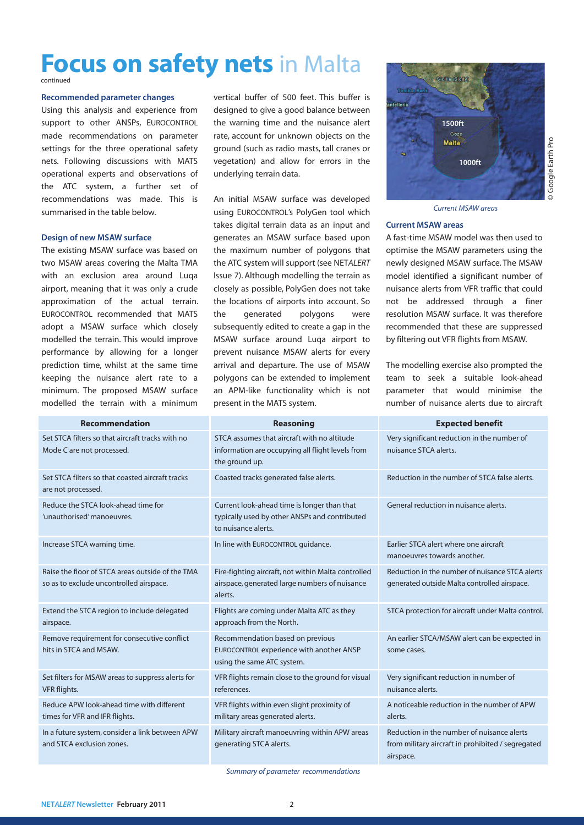### **Focus on safety nets** in Malta

#### **Recommended parameter changes**

Using this analysis and experience from support to other ANSPs, EUROCONTROL made recommendations on parameter settings for the three operational safety nets. Following discussions with MATS operational experts and observations of the ATC system, a further set of recommendations was made. This is summarised in the table below.

#### **Design of new MSAW surface**

The existing MSAW surface was based on two MSAW areas covering the Malta TMA with an exclusion area around Luqa airport, meaning that it was only a crude approximation of the actual terrain. EUROCONTROL recommended that MATS adopt a MSAW surface which closely modelled the terrain. This would improve performance by allowing for a longer prediction time, whilst at the same time keeping the nuisance alert rate to a minimum. The proposed MSAW surface modelled the terrain with a minimum

vertical buffer of 500 feet. This buffer is designed to give a good balance between the warning time and the nuisance alert rate, account for unknown objects on the ground (such as radio masts, tall cranes or vegetation) and allow for errors in the underlying terrain data.

An initial MSAW surface was developed using EUROCONTROL's PolyGen tool which takes digital terrain data as an input and generates an MSAW surface based upon the maximum number of polygons that the ATC system will support (see NETALERT Issue 7). Although modelling the terrain as closely as possible, PolyGen does not take the locations of airports into account. So the generated polygons were subsequently edited to create a gap in the MSAW surface around Luqa airport to prevent nuisance MSAW alerts for every arrival and departure. The use of MSAW polygons can be extended to implement an APM-like functionality which is not present in the MATS system.



Current MSAW areas

#### **Current MSAW areas**

A fast-time MSAW model was then used to optimise the MSAW parameters using the newly designed MSAW surface. The MSAW model identified a significant number of nuisance alerts from VFR traffic that could not be addressed through a finer resolution MSAW surface. It was therefore recommended that these are suppressed by filtering out VFR flights from MSAW.

The modelling exercise also prompted the team to seek a suitable look-ahead parameter that would minimise the number of nuisance alerts due to aircraft

| <b>Recommendation</b>                                                                       | <b>Reasoning</b>                                                                                                    | <b>Expected benefit</b>                                                                                      |
|---------------------------------------------------------------------------------------------|---------------------------------------------------------------------------------------------------------------------|--------------------------------------------------------------------------------------------------------------|
| Set STCA filters so that aircraft tracks with no<br>Mode C are not processed.               | STCA assumes that aircraft with no altitude<br>information are occupying all flight levels from<br>the ground up.   | Very significant reduction in the number of<br>nuisance STCA alerts.                                         |
| Set STCA filters so that coasted aircraft tracks<br>are not processed.                      | Coasted tracks generated false alerts.                                                                              | Reduction in the number of STCA false alerts.                                                                |
| Reduce the STCA look-ahead time for<br>'unauthorised' manoeuvres.                           | Current look-ahead time is longer than that<br>typically used by other ANSPs and contributed<br>to nuisance alerts. | General reduction in nuisance alerts.                                                                        |
| Increase STCA warning time.                                                                 | In line with EUROCONTROL guidance.                                                                                  | Earlier STCA alert where one aircraft<br>manoeuvres towards another.                                         |
| Raise the floor of STCA areas outside of the TMA<br>so as to exclude uncontrolled airspace. | Fire-fighting aircraft, not within Malta controlled<br>airspace, generated large numbers of nuisance<br>alerts.     | Reduction in the number of nuisance STCA alerts<br>generated outside Malta controlled airspace.              |
| Extend the STCA region to include delegated<br>airspace.                                    | Flights are coming under Malta ATC as they<br>approach from the North.                                              | STCA protection for aircraft under Malta control.                                                            |
| Remove requirement for consecutive conflict<br>hits in STCA and MSAW.                       | Recommendation based on previous<br>EUROCONTROL experience with another ANSP<br>using the same ATC system.          | An earlier STCA/MSAW alert can be expected in<br>some cases.                                                 |
| Set filters for MSAW areas to suppress alerts for<br>VFR flights.                           | VFR flights remain close to the ground for visual<br>references.                                                    | Very significant reduction in number of<br>nuisance alerts.                                                  |
| Reduce APW look-ahead time with different<br>times for VFR and IFR flights.                 | VFR flights within even slight proximity of<br>military areas generated alerts.                                     | A noticeable reduction in the number of APW<br>alerts.                                                       |
| In a future system, consider a link between APW<br>and STCA exclusion zones.                | Military aircraft manoeuvring within APW areas<br>generating STCA alerts.                                           | Reduction in the number of nuisance alerts<br>from military aircraft in prohibited / segregated<br>airspace. |

Summary of parameter recommendations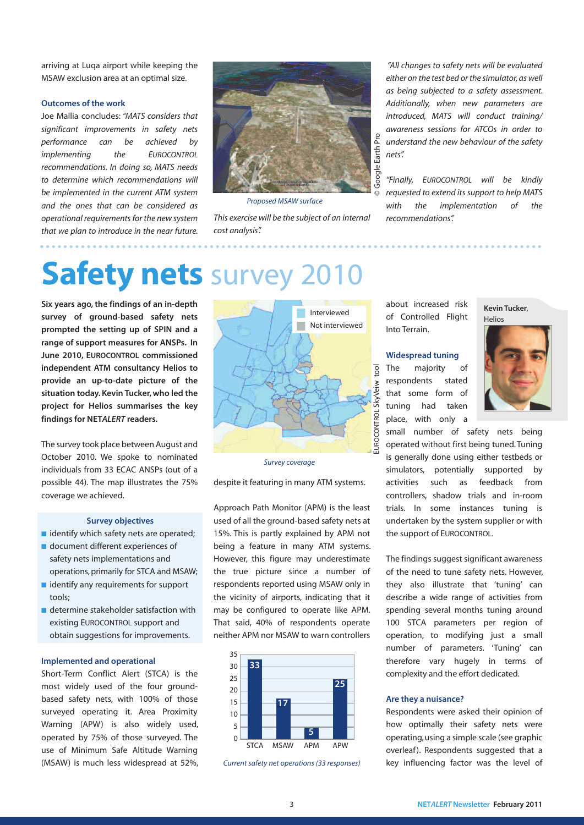arriving at Luqa airport while keeping the MSAW exclusion area at an optimal size.

#### **Outcomes of the work**

Joe Mallia concludes: "MATS considers that significant improvements in safety nets performance can be achieved by implementing the EUROCONTROL recommendations. In doing so, MATS needs to determine which recommendations will be implemented in the current ATM system and the ones that can be considered as operational requirements for the new system that we plan to introduce in the near future.



Proposed MSAW surface

This exercise will be the subject of an internal cost analysis".

"All changes to safety nets will be evaluated either on the test bed or the simulator, as well as being subjected to a safety assessment. Additionally, when new parameters are introduced, MATS will conduct training/ awareness sessions for ATCOs in order to understand the new behaviour of the safety nets".

"Finally, EUROCONTROL will be kindly requested to extend its support to help MATS with the implementation of the recommendations".

## **Safety nets** survey 2010

**Six years ago, the findings of an in-depth survey of ground-based safety nets prompted the setting up of SPIN and a range of support measures for ANSPs. In June 2010, EUROCONTROL commissioned independent ATM consultancy Helios to provide an up-to-date picture of the situation today.Kevin Tucker,who led the project for Helios summarises the key findings for NETALERT readers.**

The survey took place between August and October 2010. We spoke to nominated individuals from 33 ECAC ANSPs (out of a possible 44). The map illustrates the 75% coverage we achieved.

#### **Survey objectives**

- identify which safety nets are operated;
- document different experiences of safety nets implementations and operations, primarily for STCA and MSAW;
- identify any requirements for support tools;
- determine stakeholder satisfaction with existing EUROCONTROL support and obtain suggestions for improvements.

#### **Implemented and operational**

Short-Term Conflict Alert (STCA) is the most widely used of the four groundbased safety nets, with 100% of those surveyed operating it. Area Proximity Warning (APW) is also widely used, operated by 75% of those surveyed. The use of Minimum Safe Altitude Warning (MSAW) is much less widespread at 52%,



Survey coverage

despite it featuring in many ATM systems.

Approach Path Monitor (APM) is the least used of all the ground-based safety nets at 15%. This is partly explained by APM not being a feature in many ATM systems. However, this figure may underestimate the true picture since a number of respondents reported using MSAW only in the vicinity of airports, indicating that it may be configured to operate like APM. That said, 40% of respondents operate neither APM nor MSAW to warn controllers



Current safety net operations (33 responses)

about increased risk of Controlled Flight Into Terrain.

#### **Widespread tuning**

The majority of respondents stated that some form of tuning had taken place, with only a



**Kevin Tucker**,

small number of safety nets being operated without first being tuned.Tuning is generally done using either testbeds or simulators, potentially supported by activities such as feedback from controllers, shadow trials and in-room trials. In some instances tuning is undertaken by the system supplier or with the support of EUROCONTROL.

The findings suggest significant awareness of the need to tune safety nets. However, they also illustrate that 'tuning' can describe a wide range of activities from spending several months tuning around 100 STCA parameters per region of operation, to modifying just a small number of parameters. 'Tuning' can therefore vary hugely in terms of complexity and the effort dedicated.

#### **Are they a nuisance?**

Respondents were asked their opinion of how optimally their safety nets were operating,using a simple scale (see graphic overleaf). Respondents suggested that a key influencing factor was the level of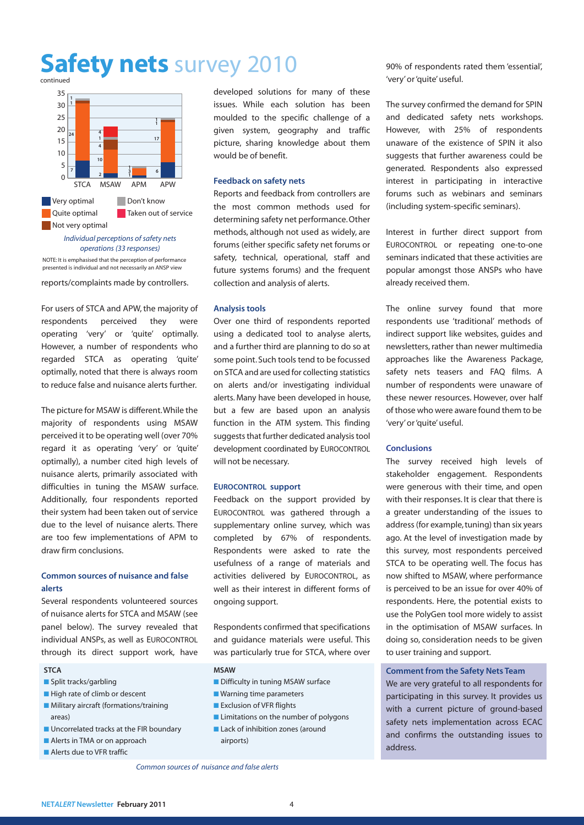### **Safety nets** survey 2010



operations (33 responses) NOTE: It is emphasised that the perception of performance presented is individual and not necessarily an ANSP view

reports/complaints made by controllers.

For users of STCA and APW, the majority of respondents perceived they were operating 'very' or 'quite' optimally. However, a number of respondents who regarded STCA as operating 'quite' optimally, noted that there is always room to reduce false and nuisance alerts further.

The picture for MSAW is different.While the majority of respondents using MSAW perceived it to be operating well (over 70% regard it as operating 'very' or 'quite' optimally), a number cited high levels of nuisance alerts, primarily associated with difficulties in tuning the MSAW surface. Additionally, four respondents reported their system had been taken out of service due to the level of nuisance alerts. There are too few implementations of APM to draw firm conclusions.

### **Common sources of nuisance and false alerts**

Several respondents volunteered sources of nuisance alerts for STCA and MSAW (see panel below). The survey revealed that individual ANSPs, as well as EUROCONTROL through its direct support work, have

#### **STCA**

- Split tracks/garbling
- High rate of climb or descent
- Military aircraft (formations/training areas)
- Uncorrelated tracks at the FIR boundary
- Alerts in TMA or on approach
- Alerts due to VFR traffic

developed solutions for many of these issues. While each solution has been moulded to the specific challenge of a given system, geography and traffic picture, sharing knowledge about them would be of benefit.

#### **Feedback on safety nets**

Reports and feedback from controllers are the most common methods used for determining safety net performance.Other methods, although not used as widely, are forums (either specific safety net forums or safety, technical, operational, staff and future systems forums) and the frequent collection and analysis of alerts.

#### **Analysis tools**

Over one third of respondents reported using a dedicated tool to analyse alerts, and a further third are planning to do so at some point. Such tools tend to be focussed on STCA and are used for collecting statistics on alerts and/or investigating individual alerts. Many have been developed in house, but a few are based upon an analysis function in the ATM system. This finding suggests that further dedicated analysis tool development coordinated by EUROCONTROL will not be necessary.

#### **EUROCONTROL support**

Feedback on the support provided by EUROCONTROL was gathered through a supplementary online survey, which was completed by 67% of respondents. Respondents were asked to rate the usefulness of a range of materials and activities delivered by EUROCONTROL, as well as their interest in different forms of ongoing support.

Respondents confirmed that specifications and guidance materials were useful. This was particularly true for STCA, where over

#### **MSAW**

- Difficulty in tuning MSAW surface
- Warning time parameters
- Exclusion of VFR flights
- Limitations on the number of polygons
- Lack of inhibition zones (around airports)

90% of respondents rated them 'essential', 'very' or 'quite' useful.

The survey confirmed the demand for SPIN and dedicated safety nets workshops. However, with 25% of respondents unaware of the existence of SPIN it also suggests that further awareness could be generated. Respondents also expressed interest in participating in interactive forums such as webinars and seminars (including system-specific seminars).

Interest in further direct support from EUROCONTROL or repeating one-to-one seminars indicated that these activities are popular amongst those ANSPs who have already received them.

The online survey found that more respondents use 'traditional' methods of indirect support like websites, guides and newsletters, rather than newer multimedia approaches like the Awareness Package, safety nets teasers and FAQ films. A number of respondents were unaware of these newer resources. However, over half of those who were aware found them to be 'very' or 'quite' useful.

#### **Conclusions**

The survey received high levels of stakeholder engagement. Respondents were generous with their time, and open with their responses. It is clear that there is a greater understanding of the issues to address(for example,tuning) than six years ago. At the level of investigation made by this survey, most respondents perceived STCA to be operating well. The focus has now shifted to MSAW, where performance is perceived to be an issue for over 40% of respondents. Here, the potential exists to use the PolyGen tool more widely to assist in the optimisation of MSAW surfaces. In doing so, consideration needs to be given to user training and support.

#### **Comment from the Safety Nets Team**

We are very grateful to all respondents for participating in this survey. It provides us with a current picture of ground-based safety nets implementation across ECAC and confirms the outstanding issues to address.

Common sources of nuisance and false alerts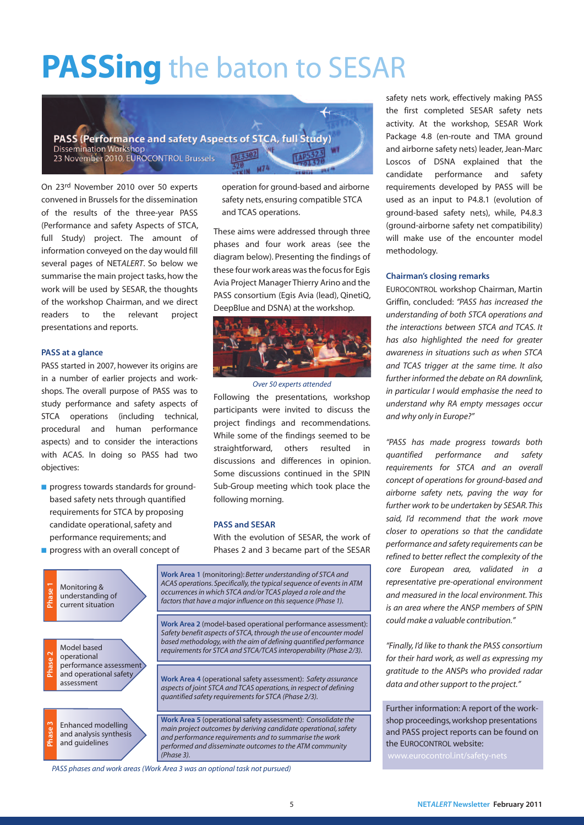## **PASSing** the baton to SESAR



On 23rd November 2010 over 50 experts convened in Brussels for the dissemination of the results of the three-year PASS (Performance and safety Aspects of STCA, full Study) project. The amount of information conveyed on the day would fill several pages of NETALERT. So below we summarise the main project tasks, how the work will be used by SESAR, the thoughts of the workshop Chairman, and we direct readers to the relevant project presentations and reports.

#### **PASS at a glance**

PASS started in 2007, however its origins are in a number of earlier projects and workshops. The overall purpose of PASS was to study performance and safety aspects of STCA operations (including technical, procedural and human performance aspects) and to consider the interactions with ACAS. In doing so PASS had two objectives:

- **■** progress towards standards for groundbased safety nets through quantified requirements for STCA by proposing candidate operational, safety and performance requirements; and
- **■** progress with an overall concept of

operation for ground-based and airborne safety nets, ensuring compatible STCA and TCAS operations.

These aims were addressed through three phases and four work areas (see the diagram below). Presenting the findings of these four work areas was the focus for Egis Avia Project Manager Thierry Arino and the PASS consortium (Egis Avia (lead), QinetiQ, DeepBlue and DSNA) at the workshop.



Over 50 experts attended

Following the presentations, workshop participants were invited to discuss the project findings and recommendations. While some of the findings seemed to be straightforward, others resulted in discussions and differences in opinion. Some discussions continued in the SPIN Sub-Group meeting which took place the following morning.

#### **PASS and SESAR**

With the evolution of SESAR, the work of Phases 2 and 3 became part of the SESAR



safety nets work, effectively making PASS the first completed SESAR safety nets activity. At the workshop, SESAR Work Package 4.8 (en-route and TMA ground and airborne safety nets) leader, Jean-Marc Loscos of DSNA explained that the candidate performance and safety requirements developed by PASS will be used as an input to P4.8.1 (evolution of ground-based safety nets), while, P4.8.3 (ground-airborne safety net compatibility) will make use of the encounter model methodology.

#### **Chairman's closing remarks**

EUROCONTROL workshop Chairman, Martin Griffin, concluded: "PASS has increased the understanding of both STCA operations and the interactions between STCA and TCAS. It has also highlighted the need for greater awareness in situations such as when STCA and TCAS trigger at the same time. It also further informed the debate on RA downlink, in particular I would emphasise the need to understand why RA empty messages occur and why only in Europe?"

"PASS has made progress towards both quantified performance and safety requirements for STCA and an overall concept of operations for ground-based and airborne safety nets, paving the way for further work to be undertaken by SESAR.This said, I'd recommend that the work move closer to operations so that the candidate performance and safety requirements can be refined to better reflect the complexity of the core European area, validated in a representative pre-operational environment and measured in the local environment. This is an area where the ANSP members of SPIN could make a valuable contribution."

"Finally, I'd like to thank the PASS consortium for their hard work, as well as expressing my gratitude to the ANSPs who provided radar data and other support to the project."

Further information:A report of the workshop proceedings,workshop presentations and PASS project reports can be found on the EUROCONTROL website:

PASS phases and work areas (Work Area 3 was an optional task not pursued)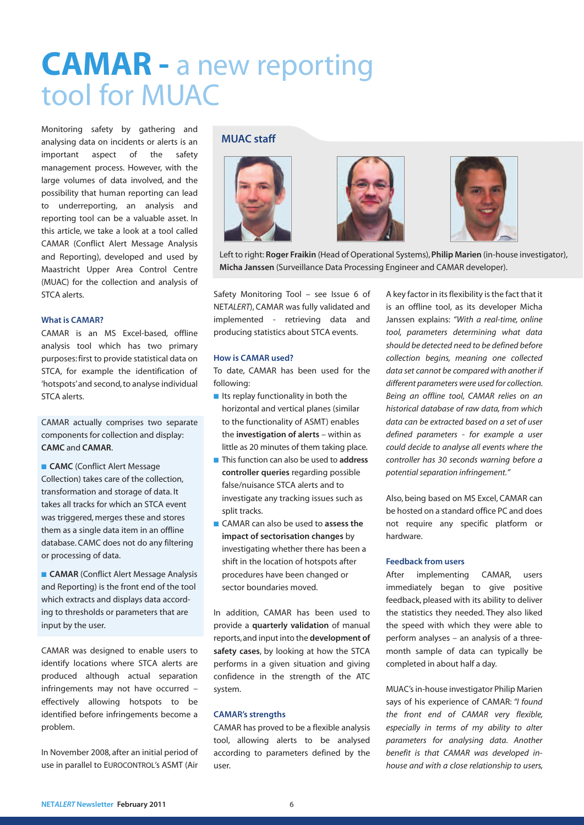## **CAMAR -** a new reporting tool for MUAC

Monitoring safety by gathering and analysing data on incidents or alerts is an important aspect of the safety management process. However, with the large volumes of data involved, and the possibility that human reporting can lead to underreporting, an analysis and reporting tool can be a valuable asset. In this article, we take a look at a tool called CAMAR (Conflict Alert Message Analysis and Reporting), developed and used by Maastricht Upper Area Control Centre (MUAC) for the collection and analysis of STCA alerts.

#### **What is CAMAR?**

CAMAR is an MS Excel-based, offline analysis tool which has two primary purposes:first to provide statistical data on STCA, for example the identification of 'hotspots' and second, to analyse individual STCA alerts.

CAMAR actually comprises two separate components for collection and display: **CAMC** and **CAMAR**.

**■ CAMC** (Conflict Alert Message Collection) takes care of the collection, transformation and storage of data. It takes all tracks for which an STCA event was triggered, merges these and stores them as a single data item in an offline database. CAMC does not do any filtering or processing of data.

**■ CAMAR** (Conflict Alert Message Analysis and Reporting) is the front end of the tool which extracts and displays data according to thresholds or parameters that are input by the user.

CAMAR was designed to enable users to identify locations where STCA alerts are produced although actual separation infringements may not have occurred – effectively allowing hotspots to be identified before infringements become a problem.

In November 2008, after an initial period of use in parallel to EUROCONTROL's ASMT (Air

#### **MUAC staff**





Left to right: **Roger Fraikin** (Head of Operational Systems),**Philip Marien** (in-house investigator), **Micha Janssen** (Surveillance Data Processing Engineer and CAMAR developer).

Safety Monitoring Tool – see Issue 6 of NETALERT), CAMAR was fully validated and implemented - retrieving data and producing statistics about STCA events.

#### **How is CAMAR used?**

To date, CAMAR has been used for the following:

- Its replay functionality in both the horizontal and vertical planes (similar to the functionality of ASMT) enables the **investigation of alerts** – within as little as 20 minutes of them taking place.
- **■** This function can also be used to **address controller queries** regarding possible false/nuisance STCA alerts and to investigate any tracking issues such as split tracks.
- **■** CAMAR can also be used to **assess the impact of sectorisation changes** by investigating whether there has been a shift in the location of hotspots after procedures have been changed or sector boundaries moved.

In addition, CAMAR has been used to provide a **quarterly validation** of manual reports,and input into the **development of safety cases**, by looking at how the STCA performs in a given situation and giving confidence in the strength of the ATC system.

#### **CAMAR's strengths**

CAMAR has proved to be a flexible analysis tool, allowing alerts to be analysed according to parameters defined by the user.

A key factor in its flexibility is the fact that it is an offline tool, as its developer Micha Janssen explains: "With a real-time, online tool, parameters determining what data should be detected need to be defined before collection begins, meaning one collected data set cannot be compared with another if different parameters were used for collection. Being an offline tool, CAMAR relies on an historical database of raw data, from which data can be extracted based on a set of user defined parameters - for example a user could decide to analyse all events where the controller has 30 seconds warning before a potential separation infringement."

Also, being based on MS Excel, CAMAR can be hosted on a standard office PC and does not require any specific platform or hardware.

#### **Feedback from users**

After implementing CAMAR, users immediately began to give positive feedback, pleased with its ability to deliver the statistics they needed. They also liked the speed with which they were able to perform analyses – an analysis of a threemonth sample of data can typically be completed in about half a day.

MUAC'sin-house investigator Philip Marien says of his experience of CAMAR: "I found the front end of CAMAR very flexible, especially in terms of my ability to alter parameters for analysing data. Another benefit is that CAMAR was developed inhouse and with a close relationship to users,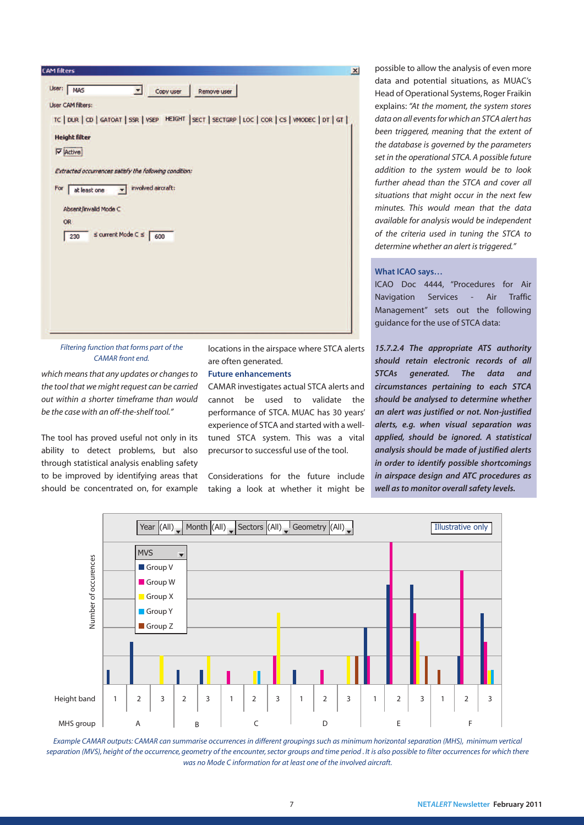

Filtering function that forms part of the CAMAR front end.

which means that any updates or changes to the tool that we might request can be carried out within a shorter timeframe than would be the case with an off-the-shelf tool."

The tool has proved useful not only in its ability to detect problems, but also through statistical analysis enabling safety to be improved by identifying areas that should be concentrated on, for example

locations in the airspace where STCA alerts are often generated.

#### **Future enhancements**

CAMAR investigates actual STCA alerts and cannot be used to validate the performance of STCA. MUAC has 30 years' experience of STCA and started with a welltuned STCA system. This was a vital precursor to successful use of the tool.

Considerations for the future include taking a look at whether it might be possible to allow the analysis of even more data and potential situations, as MUAC's Head of Operational Systems,Roger Fraikin explains: "At the moment, the system stores data on all events for which an STCA alert has been triggered, meaning that the extent of the database is governed by the parameters set in the operational STCA. A possible future addition to the system would be to look further ahead than the STCA and cover all situations that might occur in the next few minutes. This would mean that the data available for analysis would be independent of the criteria used in tuning the STCA to determine whether an alert is triggered."

#### **What ICAO says…**

ICAO Doc 4444, "Procedures for Air Navigation Services - Air Traffic Management" sets out the following guidance for the use of STCA data:

**15.7.2.4 The appropriate ATS authority should retain electronic records of all STCAs generated. The data and circumstances pertaining to each STCA should be analysed to determine whether an alert was justified or not. Non-justified alerts, e.g. when visual separation was applied, should be ignored. A statistical analysis should be made of justified alerts in order to identify possible shortcomings in airspace design and ATC procedures as well asto monitor overallsafety levels.**



Example CAMAR outputs: CAMAR can summarise occurrences in different groupings such as minimum horizontal separation (MHS), minimum vertical separation (MVS), height of the occurrence, geometry of the encounter, sector groups and time period . It is also possible to filter occurrences for which there was no Mode C information for at least one of the involved aircraft.